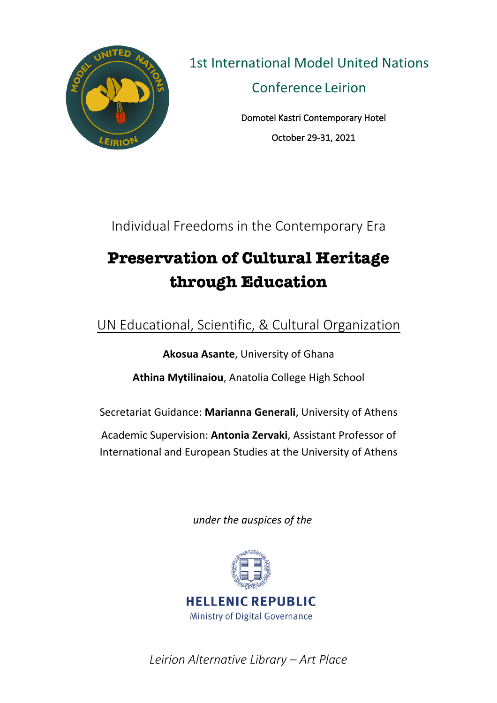

1st International Model United Nations Conference Leirion

> Domotel Kastri Contemporary Hotel October 29-31, 2021

Individual Freedoms in the Contemporary Era

# **Preservation of Cultural Heritage through Education**

UN Educational, Scientific, & Cultural Organization

**Akosua Asante**, University of Ghana **Athina Mytilinaiou**, Anatolia College High School

Secretariat Guidance: **Marianna Generali**, University of Athens

Academic Supervision: **Antonia Zervaki**, Assistant Professor of International and European Studies at the University of Athens

*under the auspices of the* 



*Leirion Alternative Library – Art Place*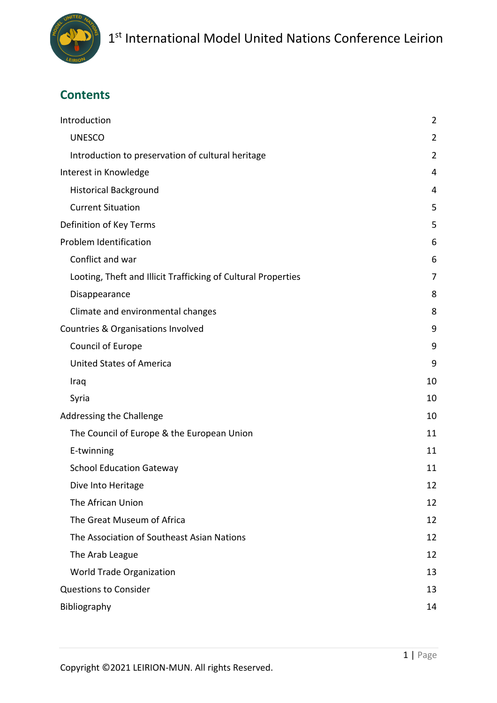

# **Contents**

| Introduction                                                  | $\overline{2}$ |
|---------------------------------------------------------------|----------------|
| <b>UNESCO</b>                                                 | $\overline{2}$ |
| Introduction to preservation of cultural heritage             | $\overline{2}$ |
| Interest in Knowledge                                         | 4              |
| <b>Historical Background</b>                                  | 4              |
| <b>Current Situation</b>                                      | 5              |
| Definition of Key Terms                                       | 5              |
| Problem Identification                                        | 6              |
| Conflict and war                                              | 6              |
| Looting, Theft and Illicit Trafficking of Cultural Properties | 7              |
| Disappearance                                                 | 8              |
| Climate and environmental changes                             | 8              |
| Countries & Organisations Involved                            | 9              |
| Council of Europe                                             | 9              |
| <b>United States of America</b>                               | 9              |
| Iraq                                                          | 10             |
| Syria                                                         | 10             |
| Addressing the Challenge                                      | 10             |
| The Council of Europe & the European Union                    | 11             |
| E-twinning                                                    | 11             |
| <b>School Education Gateway</b>                               | 11             |
| Dive Into Heritage                                            | 12             |
| The African Union                                             | 12             |
| The Great Museum of Africa                                    | 12             |
| The Association of Southeast Asian Nations                    | 12             |
| The Arab League                                               | 12             |
| World Trade Organization                                      | 13             |
| <b>Questions to Consider</b>                                  | 13             |
| Bibliography                                                  | 14             |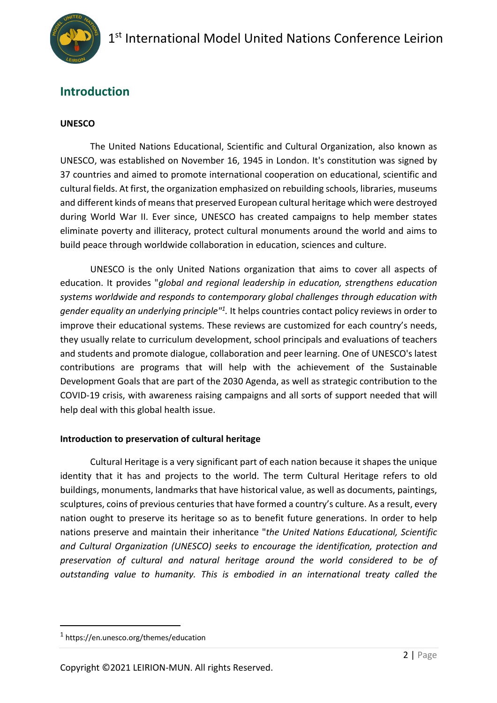

### **Introduction**

#### **UNESCO**

The United Nations Educational, Scientific and Cultural Organization, also known as UNESCO, was established on November 16, 1945 in London. It's constitution was signed by 37 countries and aimed to promote international cooperation on educational, scientific and cultural fields. At first, the organization emphasized on rebuilding schools, libraries, museums and different kinds of means that preserved European cultural heritage which were destroyed during World War II. Ever since, UNESCO has created campaigns to help member states eliminate poverty and illiteracy, protect cultural monuments around the world and aims to build peace through worldwide collaboration in education, sciences and culture.

UNESCO is the only United Nations organization that aims to cover all aspects of education. It provides "*global and regional leadership in education, strengthens education systems worldwide and responds to contemporary global challenges through education with gender equality an underlying principle"1 .* It helps countries contact policy reviews in order to improve their educational systems. These reviews are customized for each country's needs, they usually relate to curriculum development, school principals and evaluations of teachers and students and promote dialogue, collaboration and peer learning. One of UNESCO's latest contributions are programs that will help with the achievement of the Sustainable Development Goals that are part of the 2030 Agenda, as well as strategic contribution to the COVID-19 crisis, with awareness raising campaigns and all sorts of support needed that will help deal with this global health issue.

#### **Introduction to preservation of cultural heritage**

Cultural Heritage is a very significant part of each nation because it shapes the unique identity that it has and projects to the world. The term Cultural Heritage refers to old buildings, monuments, landmarks that have historical value, as well as documents, paintings, sculptures, coins of previous centuries that have formed a country's culture. As a result, every nation ought to preserve its heritage so as to benefit future generations. In order to help nations preserve and maintain their inheritance "*the United Nations Educational, Scientific and Cultural Organization (UNESCO) seeks to encourage the identification, protection and preservation of cultural and natural heritage around the world considered to be of outstanding value to humanity. This is embodied in an international treaty called the* 

<sup>1</sup> https://en.unesco.org/themes/education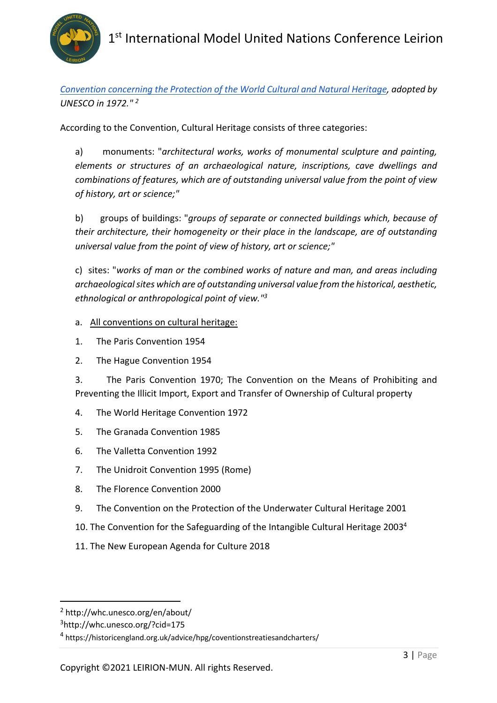

*Convention concerning the Protection of the World Cultural and Natural Heritage, adopted by UNESCO in 1972." 2*

According to the Convention, Cultural Heritage consists of three categories:

a) monuments: "*architectural works, works of monumental sculpture and painting, elements or structures of an archaeological nature, inscriptions, cave dwellings and combinations of features, which are of outstanding universal value from the point of view of history, art or science;"*

b) groups of buildings: "*groups of separate or connected buildings which, because of their architecture, their homogeneity or their place in the landscape, are of outstanding universal value from the point of view of history, art or science;"*

c) sites: "*works of man or the combined works of nature and man, and areas including archaeological sites which are of outstanding universal value from the historical, aesthetic, ethnological or anthropological point of view."3*

#### a. All conventions on cultural heritage:

- 1. The Paris Convention 1954
- 2. The Hague Convention 1954

3. The Paris Convention 1970; The Convention on the Means of Prohibiting and Preventing the Illicit Import, Export and Transfer of Ownership of Cultural property

- 4. The World Heritage Convention 1972
- 5. The Granada Convention 1985
- 6. The Valletta Convention 1992
- 7. The Unidroit Convention 1995 (Rome)
- 8. The Florence Convention 2000
- 9. The Convention on the Protection of the Underwater Cultural Heritage 2001
- 10. The Convention for the Safeguarding of the Intangible Cultural Heritage 2003<sup>4</sup>
- 11. The New European Agenda for Culture 2018

<sup>2</sup> http://whc.unesco.org/en/about/

<sup>3</sup>http://whc.unesco.org/?cid=175

<sup>4</sup> https://historicengland.org.uk/advice/hpg/coventionstreatiesandcharters/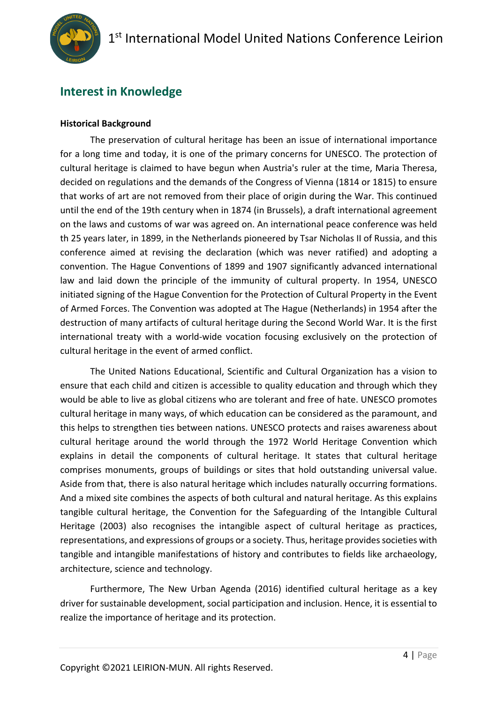

### **Interest in Knowledge**

#### **Historical Background**

The preservation of cultural heritage has been an issue of international importance for a long time and today, it is one of the primary concerns for UNESCO. The protection of cultural heritage is claimed to have begun when Austria's ruler at the time, Maria Theresa, decided on regulations and the demands of the Congress of Vienna (1814 or 1815) to ensure that works of art are not removed from their place of origin during the War. This continued until the end of the 19th century when in 1874 (in Brussels), a draft international agreement on the laws and customs of war was agreed on. An international peace conference was held th 25 years later, in 1899, in the Netherlands pioneered by Tsar Nicholas II of Russia, and this conference aimed at revising the declaration (which was never ratified) and adopting a convention. The Hague Conventions of 1899 and 1907 significantly advanced international law and laid down the principle of the immunity of cultural property. In 1954, UNESCO initiated signing of the Hague Convention for the Protection of Cultural Property in the Event of Armed Forces. The Convention was adopted at The Hague (Netherlands) in 1954 after the destruction of many artifacts of cultural heritage during the Second World War. It is the first international treaty with a world-wide vocation focusing exclusively on the protection of cultural heritage in the event of armed conflict.

The United Nations Educational, Scientific and Cultural Organization has a vision to ensure that each child and citizen is accessible to quality education and through which they would be able to live as global citizens who are tolerant and free of hate. UNESCO promotes cultural heritage in many ways, of which education can be considered as the paramount, and this helps to strengthen ties between nations. UNESCO protects and raises awareness about cultural heritage around the world through the 1972 World Heritage Convention which explains in detail the components of cultural heritage. It states that cultural heritage comprises monuments, groups of buildings or sites that hold outstanding universal value. Aside from that, there is also natural heritage which includes naturally occurring formations. And a mixed site combines the aspects of both cultural and natural heritage. As this explains tangible cultural heritage, the Convention for the Safeguarding of the Intangible Cultural Heritage (2003) also recognises the intangible aspect of cultural heritage as practices, representations, and expressions of groups or a society. Thus, heritage provides societies with tangible and intangible manifestations of history and contributes to fields like archaeology, architecture, science and technology.

Furthermore, The New Urban Agenda (2016) identified cultural heritage as a key driver for sustainable development, social participation and inclusion. Hence, it is essential to realize the importance of heritage and its protection.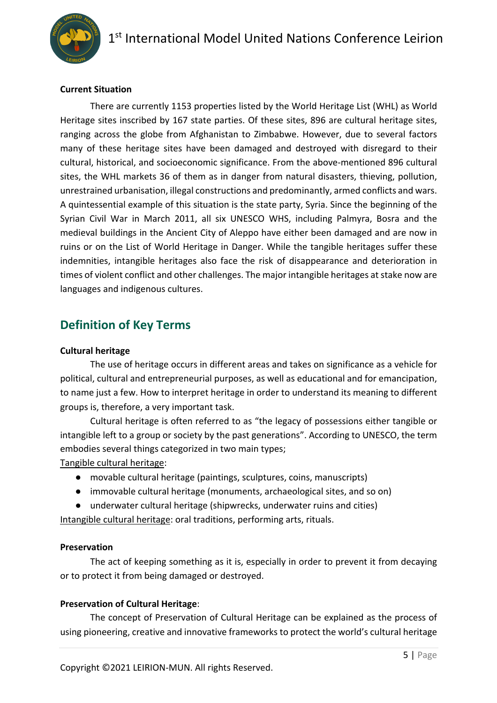

#### **Current Situation**

There are currently 1153 properties listed by the World Heritage List (WHL) as World Heritage sites inscribed by 167 state parties. Of these sites, 896 are cultural heritage sites, ranging across the globe from Afghanistan to Zimbabwe. However, due to several factors many of these heritage sites have been damaged and destroyed with disregard to their cultural, historical, and socioeconomic significance. From the above-mentioned 896 cultural sites, the WHL markets 36 of them as in danger from natural disasters, thieving, pollution, unrestrained urbanisation, illegal constructions and predominantly, armed conflicts and wars. A quintessential example of this situation is the state party, Syria. Since the beginning of the Syrian Civil War in March 2011, all six UNESCO WHS, including Palmyra, Bosra and the medieval buildings in the Ancient City of Aleppo have either been damaged and are now in ruins or on the List of World Heritage in Danger. While the tangible heritages suffer these indemnities, intangible heritages also face the risk of disappearance and deterioration in times of violent conflict and other challenges. The major intangible heritages at stake now are languages and indigenous cultures.

### **Definition of Key Terms**

#### **Cultural heritage**

The use of heritage occurs in different areas and takes on significance as a vehicle for political, cultural and entrepreneurial purposes, as well as educational and for emancipation, to name just a few. How to interpret heritage in order to understand its meaning to different groups is, therefore, a very important task.

Cultural heritage is often referred to as "the legacy of possessions either tangible or intangible left to a group or society by the past generations". According to UNESCO, the term embodies several things categorized in two main types;

Tangible cultural heritage:

- movable cultural heritage (paintings, sculptures, coins, manuscripts)
- immovable cultural heritage (monuments, archaeological sites, and so on)
- underwater cultural heritage (shipwrecks, underwater ruins and cities)

Intangible cultural heritage: oral traditions, performing arts, rituals.

#### **Preservation**

The act of keeping something as it is, especially in order to prevent it from decaying or to protect it from being damaged or destroyed.

#### **Preservation of Cultural Heritage**:

The concept of Preservation of Cultural Heritage can be explained as the process of using pioneering, creative and innovative frameworks to protect the world's cultural heritage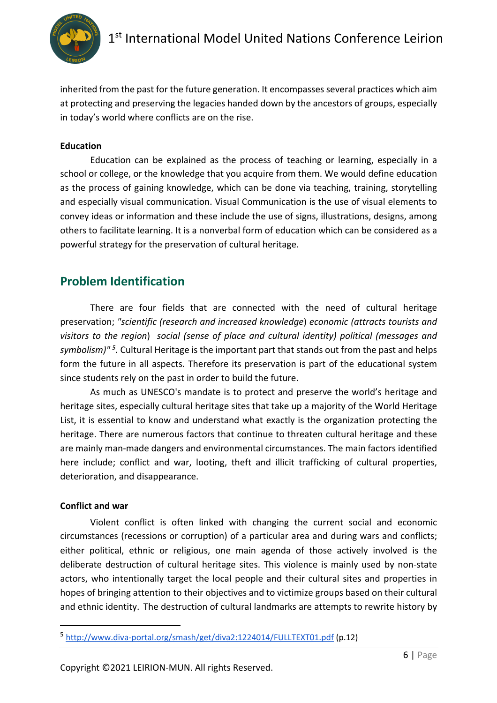

inherited from the past for the future generation. It encompasses several practices which aim at protecting and preserving the legacies handed down by the ancestors of groups, especially in today's world where conflicts are on the rise.

#### **Education**

Education can be explained as the process of teaching or learning, especially in a school or college, or the knowledge that you acquire from them. We would define education as the process of gaining knowledge, which can be done via teaching, training, storytelling and especially visual communication. Visual Communication is the use of visual elements to convey ideas or information and these include the use of signs, illustrations, designs, among others to facilitate learning. It is a nonverbal form of education which can be considered as a powerful strategy for the preservation of cultural heritage.

### **Problem Identification**

There are four fields that are connected with the need of cultural heritage preservation; *"scientific (research and increased knowledge*) *economic (attracts tourists and visitors to the region*) *social (sense of place and cultural identity) political (messages and symbolism)" 5.* Cultural Heritage is the important part that stands out from the past and helps form the future in all aspects. Therefore its preservation is part of the educational system since students rely on the past in order to build the future.

As much as UNESCO's mandate is to protect and preserve the world's heritage and heritage sites, especially cultural heritage sites that take up a majority of the World Heritage List, it is essential to know and understand what exactly is the organization protecting the heritage. There are numerous factors that continue to threaten cultural heritage and these are mainly man-made dangers and environmental circumstances. The main factors identified here include; conflict and war, looting, theft and illicit trafficking of cultural properties, deterioration, and disappearance.

#### **Conflict and war**

Violent conflict is often linked with changing the current social and economic circumstances (recessions or corruption) of a particular area and during wars and conflicts; either political, ethnic or religious, one main agenda of those actively involved is the deliberate destruction of cultural heritage sites. This violence is mainly used by non-state actors, who intentionally target the local people and their cultural sites and properties in hopes of bringing attention to their objectives and to victimize groups based on their cultural and ethnic identity. The destruction of cultural landmarks are attempts to rewrite history by

<sup>5</sup> http://www.diva-portal.org/smash/get/diva2:1224014/FULLTEXT01.pdf (p.12)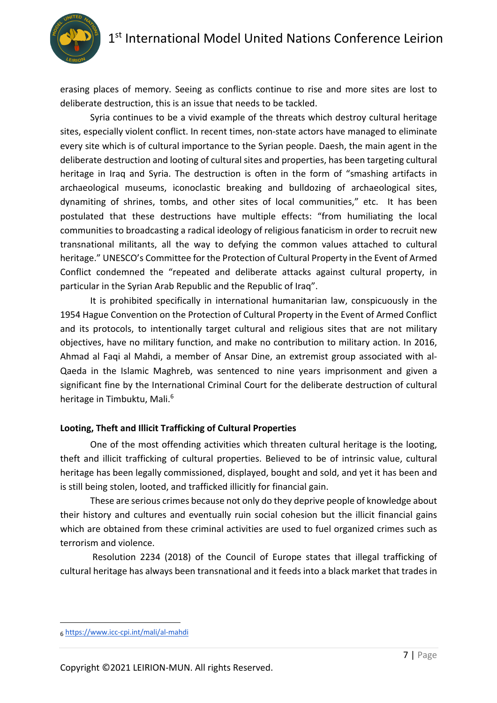

erasing places of memory. Seeing as conflicts continue to rise and more sites are lost to deliberate destruction, this is an issue that needs to be tackled.

Syria continues to be a vivid example of the threats which destroy cultural heritage sites, especially violent conflict. In recent times, non-state actors have managed to eliminate every site which is of cultural importance to the Syrian people. Daesh, the main agent in the deliberate destruction and looting of cultural sites and properties, has been targeting cultural heritage in Iraq and Syria. The destruction is often in the form of "smashing artifacts in archaeological museums, iconoclastic breaking and bulldozing of archaeological sites, dynamiting of shrines, tombs, and other sites of local communities," etc. It has been postulated that these destructions have multiple effects: "from humiliating the local communities to broadcasting a radical ideology of religious fanaticism in order to recruit new transnational militants, all the way to defying the common values attached to cultural heritage." UNESCO's Committee for the Protection of Cultural Property in the Event of Armed Conflict condemned the "repeated and deliberate attacks against cultural property, in particular in the Syrian Arab Republic and the Republic of Iraq".

It is prohibited specifically in international humanitarian law, conspicuously in the 1954 Hague Convention on the Protection of Cultural Property in the Event of Armed Conflict and its protocols, to intentionally target cultural and religious sites that are not military objectives, have no military function, and make no contribution to military action. In 2016, Ahmad al Faqi al Mahdi, a member of Ansar Dine, an extremist group associated with al-Qaeda in the Islamic Maghreb, was sentenced to nine years imprisonment and given a significant fine by the International Criminal Court for the deliberate destruction of cultural heritage in Timbuktu, Mali.<sup>6</sup>

#### **Looting, Theft and Illicit Trafficking of Cultural Properties**

One of the most offending activities which threaten cultural heritage is the looting, theft and illicit trafficking of cultural properties. Believed to be of intrinsic value, cultural heritage has been legally commissioned, displayed, bought and sold, and yet it has been and is still being stolen, looted, and trafficked illicitly for financial gain.

 These are serious crimes because not only do they deprive people of knowledge about their history and cultures and eventually ruin social cohesion but the illicit financial gains which are obtained from these criminal activities are used to fuel organized crimes such as terrorism and violence.

 Resolution 2234 (2018) of the Council of Europe states that illegal trafficking of cultural heritage has always been transnational and it feeds into a black market that trades in

<sup>6</sup> https://www.icc-cpi.int/mali/al-mahdi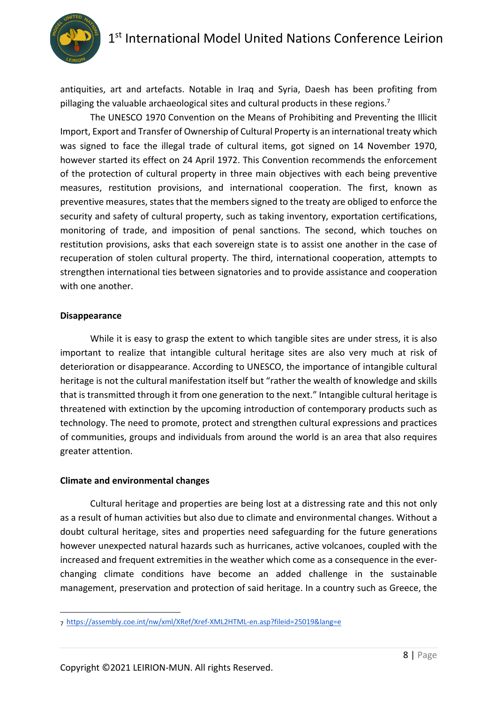

antiquities, art and artefacts. Notable in Iraq and Syria, Daesh has been profiting from pillaging the valuable archaeological sites and cultural products in these regions.<sup>7</sup>

The UNESCO 1970 Convention on the Means of Prohibiting and Preventing the Illicit Import, Export and Transfer of Ownership of Cultural Property is an international treaty which was signed to face the illegal trade of cultural items, got signed on 14 November 1970, however started its effect on 24 April 1972. This Convention recommends the enforcement of the protection of cultural property in three main objectives with each being preventive measures, restitution provisions, and international cooperation. The first, known as preventive measures, states that the members signed to the treaty are obliged to enforce the security and safety of cultural property, such as taking inventory, exportation certifications, monitoring of trade, and imposition of penal sanctions. The second, which touches on restitution provisions, asks that each sovereign state is to assist one another in the case of recuperation of stolen cultural property. The third, international cooperation, attempts to strengthen international ties between signatories and to provide assistance and cooperation with one another.

#### **Disappearance**

While it is easy to grasp the extent to which tangible sites are under stress, it is also important to realize that intangible cultural heritage sites are also very much at risk of deterioration or disappearance. According to UNESCO, the importance of intangible cultural heritage is not the cultural manifestation itself but "rather the wealth of knowledge and skills that is transmitted through it from one generation to the next." Intangible cultural heritage is threatened with extinction by the upcoming introduction of contemporary products such as technology. The need to promote, protect and strengthen cultural expressions and practices of communities, groups and individuals from around the world is an area that also requires greater attention.

#### **Climate and environmental changes**

Cultural heritage and properties are being lost at a distressing rate and this not only as a result of human activities but also due to climate and environmental changes. Without a doubt cultural heritage, sites and properties need safeguarding for the future generations however unexpected natural hazards such as hurricanes, active volcanoes, coupled with the increased and frequent extremities in the weather which come as a consequence in the everchanging climate conditions have become an added challenge in the sustainable management, preservation and protection of said heritage. In a country such as Greece, the

<sup>7</sup> https://assembly.coe.int/nw/xml/XRef/Xref-XML2HTML-en.asp?fileid=25019&lang=e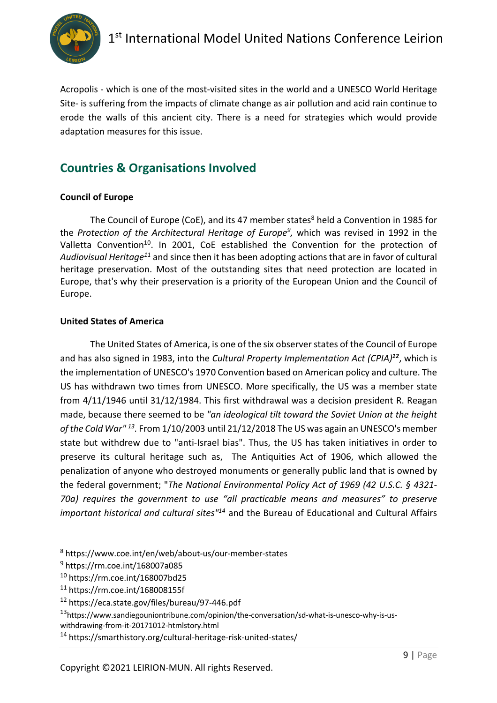

Acropolis - which is one of the most-visited sites in the world and a UNESCO World Heritage Site- is suffering from the impacts of climate change as air pollution and acid rain continue to erode the walls of this ancient city. There is a need for strategies which would provide adaptation measures for this issue.

## **Countries & Organisations Involved**

#### **Council of Europe**

The Council of Europe (CoE), and its 47 member states<sup>8</sup> held a Convention in 1985 for the *Protection of the Architectural Heritage of Europe<sup>9</sup>, which was revised in 1992 in the* Valletta Convention<sup>10</sup>. In 2001, CoE established the Convention for the protection of *Audiovisual Heritage11* and since then it has been adopting actions that are in favor of cultural heritage preservation. Most of the outstanding sites that need protection are located in Europe, that's why their preservation is a priority of the European Union and the Council of Europe.

#### **United States of America**

The United States of America, is one of the six observer states of the Council of Europe and has also signed in 1983, into the *Cultural Property Implementation Act (CPIA)<sup>12</sup>*, which is the implementation of UNESCO's 1970 Convention based on American policy and culture. The US has withdrawn two times from UNESCO. More specifically, the US was a member state from 4/11/1946 until 31/12/1984. This first withdrawal was a decision president R. Reagan made, because there seemed to be *"an ideological tilt toward the Soviet Union at the height of the Cold War" 13.* From 1/10/2003 until 21/12/2018 The US was again an UNESCO's member state but withdrew due to "anti-Israel bias". Thus, the US has taken initiatives in order to preserve its cultural heritage such as, The Antiquities Act of 1906, which allowed the penalization of anyone who destroyed monuments or generally public land that is owned by the federal government; "*The National Environmental Policy Act of 1969 (42 U.S.C. § 4321- 70a) requires the government to use "all practicable means and measures" to preserve important historical and cultural sites"14* and the Bureau of Educational and Cultural Affairs

<sup>8</sup> https://www.coe.int/en/web/about-us/our-member-states

<sup>9</sup> https://rm.coe.int/168007a085

<sup>10</sup> https://rm.coe.int/168007bd25

<sup>11</sup> https://rm.coe.int/168008155f

<sup>12</sup> https://eca.state.gov/files/bureau/97-446.pdf

<sup>13</sup>https://www.sandiegouniontribune.com/opinion/the-conversation/sd-what-is-unesco-why-is-us-

withdrawing-from-it-20171012-htmlstory.html

<sup>14</sup> https://smarthistory.org/cultural-heritage-risk-united-states/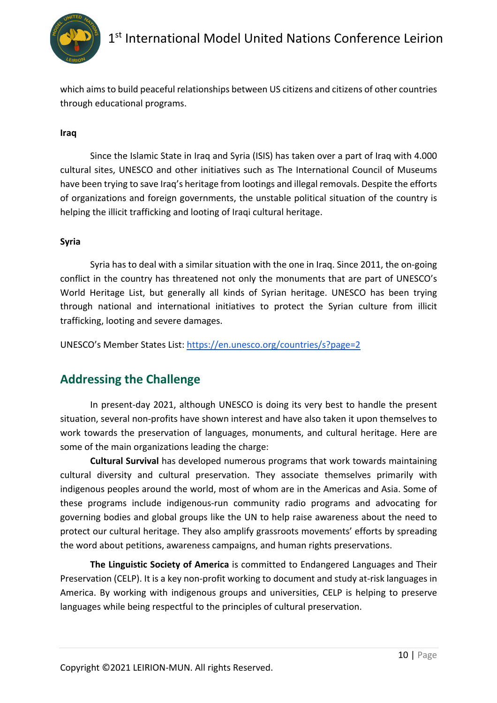

which aims to build peaceful relationships between US citizens and citizens of other countries through educational programs.

#### **Iraq**

Since the Islamic State in Iraq and Syria (ISIS) has taken over a part of Iraq with 4.000 cultural sites, UNESCO and other initiatives such as The International Council of Museums have been trying to save Iraq's heritage from lootings and illegal removals. Despite the efforts of organizations and foreign governments, the unstable political situation of the country is helping the illicit trafficking and looting of Iraqi cultural heritage.

#### **Syria**

Syria has to deal with a similar situation with the one in Iraq. Since 2011, the on-going conflict in the country has threatened not only the monuments that are part of UNESCO's World Heritage List, but generally all kinds of Syrian heritage. UNESCO has been trying through national and international initiatives to protect the Syrian culture from illicit trafficking, looting and severe damages.

UNESCO's Member States List: https://en.unesco.org/countries/s?page=2

### **Addressing the Challenge**

In present-day 2021, although UNESCO is doing its very best to handle the present situation, several non-profits have shown interest and have also taken it upon themselves to work towards the preservation of languages, monuments, and cultural heritage. Here are some of the main organizations leading the charge:

**Cultural Survival** has developed numerous programs that work towards maintaining cultural diversity and cultural preservation. They associate themselves primarily with indigenous peoples around the world, most of whom are in the Americas and Asia. Some of these programs include indigenous-run community radio programs and advocating for governing bodies and global groups like the UN to help raise awareness about the need to protect our cultural heritage. They also amplify grassroots movements' efforts by spreading the word about petitions, awareness campaigns, and human rights preservations.

**The Linguistic Society of America** is committed to Endangered Languages and Their Preservation (CELP). It is a key non-profit working to document and study at-risk languages in America. By working with indigenous groups and universities, CELP is helping to preserve languages while being respectful to the principles of cultural preservation.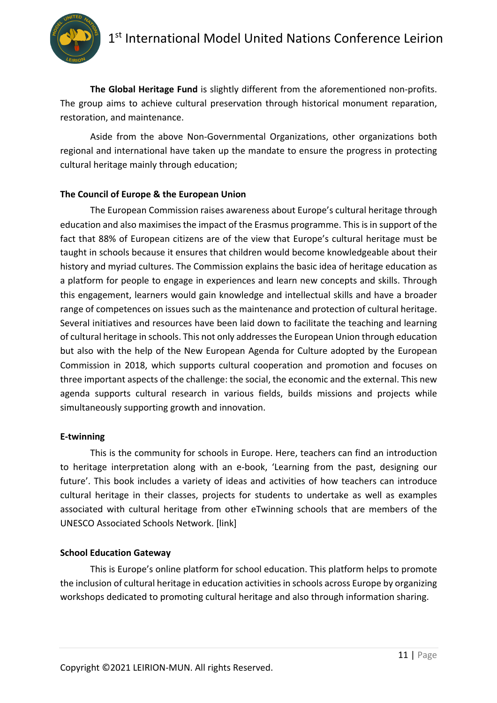

**The Global Heritage Fund** is slightly different from the aforementioned non-profits. The group aims to achieve cultural preservation through historical monument reparation, restoration, and maintenance.

Aside from the above Non-Governmental Organizations, other organizations both regional and international have taken up the mandate to ensure the progress in protecting cultural heritage mainly through education;

#### **The Council of Europe & the European Union**

The European Commission raises awareness about Europe's cultural heritage through education and also maximises the impact of the Erasmus programme. This is in support of the fact that 88% of European citizens are of the view that Europe's cultural heritage must be taught in schools because it ensures that children would become knowledgeable about their history and myriad cultures. The Commission explains the basic idea of heritage education as a platform for people to engage in experiences and learn new concepts and skills. Through this engagement, learners would gain knowledge and intellectual skills and have a broader range of competences on issues such as the maintenance and protection of cultural heritage. Several initiatives and resources have been laid down to facilitate the teaching and learning of cultural heritage in schools. This not only addresses the European Union through education but also with the help of the New European Agenda for Culture adopted by the European Commission in 2018, which supports cultural cooperation and promotion and focuses on three important aspects of the challenge: the social, the economic and the external. This new agenda supports cultural research in various fields, builds missions and projects while simultaneously supporting growth and innovation.

#### **E-twinning**

This is the community for schools in Europe. Here, teachers can find an introduction to heritage interpretation along with an e-book, 'Learning from the past, designing our future'. This book includes a variety of ideas and activities of how teachers can introduce cultural heritage in their classes, projects for students to undertake as well as examples associated with cultural heritage from other eTwinning schools that are members of the UNESCO Associated Schools Network. [link]

#### **School Education Gateway**

This is Europe's online platform for school education. This platform helps to promote the inclusion of cultural heritage in education activities in schools across Europe by organizing workshops dedicated to promoting cultural heritage and also through information sharing.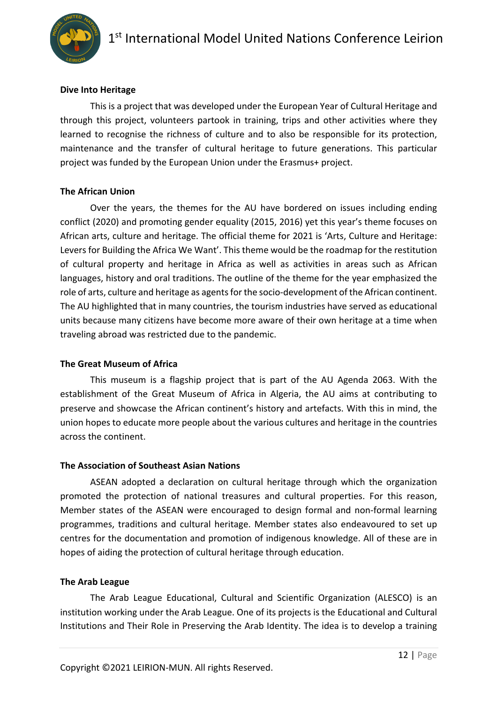

#### **Dive Into Heritage**

This is a project that was developed under the European Year of Cultural Heritage and through this project, volunteers partook in training, trips and other activities where they learned to recognise the richness of culture and to also be responsible for its protection, maintenance and the transfer of cultural heritage to future generations. This particular project was funded by the European Union under the Erasmus+ project.

#### **The African Union**

Over the years, the themes for the AU have bordered on issues including ending conflict (2020) and promoting gender equality (2015, 2016) yet this year's theme focuses on African arts, culture and heritage. The official theme for 2021 is 'Arts, Culture and Heritage: Levers for Building the Africa We Want'. This theme would be the roadmap for the restitution of cultural property and heritage in Africa as well as activities in areas such as African languages, history and oral traditions. The outline of the theme for the year emphasized the role of arts, culture and heritage as agents for the socio-development of the African continent. The AU highlighted that in many countries, the tourism industries have served as educational units because many citizens have become more aware of their own heritage at a time when traveling abroad was restricted due to the pandemic.

#### **The Great Museum of Africa**

This museum is a flagship project that is part of the AU Agenda 2063. With the establishment of the Great Museum of Africa in Algeria, the AU aims at contributing to preserve and showcase the African continent's history and artefacts. With this in mind, the union hopes to educate more people about the various cultures and heritage in the countries across the continent.

#### **The Association of Southeast Asian Nations**

ASEAN adopted a declaration on cultural heritage through which the organization promoted the protection of national treasures and cultural properties. For this reason, Member states of the ASEAN were encouraged to design formal and non-formal learning programmes, traditions and cultural heritage. Member states also endeavoured to set up centres for the documentation and promotion of indigenous knowledge. All of these are in hopes of aiding the protection of cultural heritage through education.

#### **The Arab League**

The Arab League Educational, Cultural and Scientific Organization (ALESCO) is an institution working under the Arab League. One of its projects is the Educational and Cultural Institutions and Their Role in Preserving the Arab Identity. The idea is to develop a training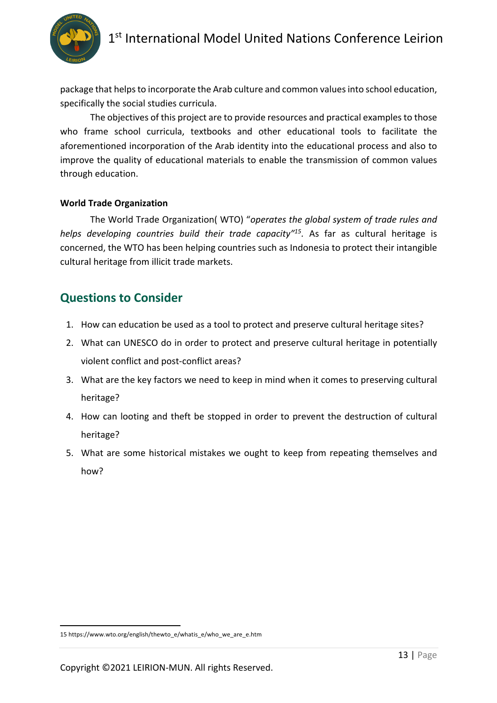# 1<sup>st</sup> International Model United Nations Conference Leirion



package that helps to incorporate the Arab culture and common values into school education, specifically the social studies curricula.

The objectives of this project are to provide resources and practical examples to those who frame school curricula, textbooks and other educational tools to facilitate the aforementioned incorporation of the Arab identity into the educational process and also to improve the quality of educational materials to enable the transmission of common values through education.

#### **World Trade Organization**

The World Trade Organization( WTO) "*operates the global system of trade rules and helps developing countries build their trade capacity"15.* As far as cultural heritage is concerned, the WTO has been helping countries such as Indonesia to protect their intangible cultural heritage from illicit trade markets.

### **Questions to Consider**

- 1. How can education be used as a tool to protect and preserve cultural heritage sites?
- 2. What can UNESCO do in order to protect and preserve cultural heritage in potentially violent conflict and post-conflict areas?
- 3. What are the key factors we need to keep in mind when it comes to preserving cultural heritage?
- 4. How can looting and theft be stopped in order to prevent the destruction of cultural heritage?
- 5. What are some historical mistakes we ought to keep from repeating themselves and how?

<sup>15</sup> https://www.wto.org/english/thewto\_e/whatis\_e/who\_we\_are\_e.htm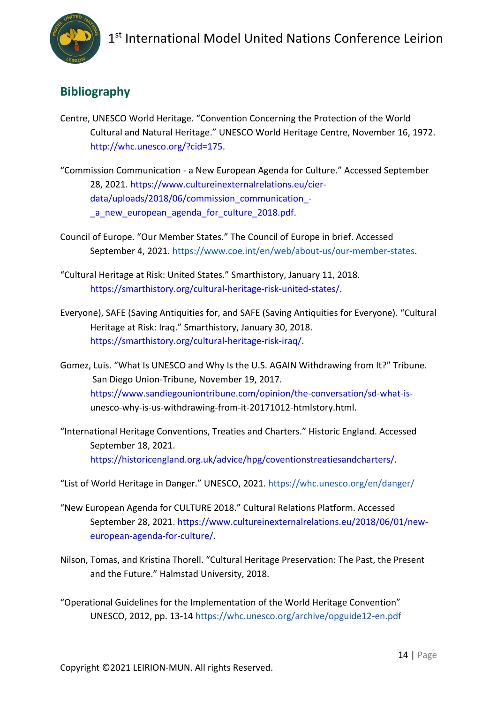

# **Bibliography**

- Centre, UNESCO World Heritage. "Convention Concerning the Protection of the World Cultural and Natural Heritage." UNESCO World Heritage Centre, November 16, 1972. http://whc.unesco.org/?cid=175.
- "Commission Communication a New European Agenda for Culture." Accessed September 28, 2021. https://www.cultureinexternalrelations.eu/cierdata/uploads/2018/06/commission\_communication\_ a new european agenda for culture 2018.pdf.
- Council of Europe. "Our Member States." The Council of Europe in brief. Accessed September 4, 2021. https://www.coe.int/en/web/about-us/our-member-states.
- "Cultural Heritage at Risk: United States." Smarthistory, January 11, 2018. https://smarthistory.org/cultural-heritage-risk-united-states/.
- Everyone), SAFE (Saving Antiquities for, and SAFE (Saving Antiquities for Everyone). "Cultural Heritage at Risk: Iraq." Smarthistory, January 30, 2018. https://smarthistory.org/cultural-heritage-risk-iraq/.
- Gomez, Luis. "What Is UNESCO and Why Is the U.S. AGAIN Withdrawing from It?" Tribune. San Diego Union-Tribune, November 19, 2017. https://www.sandiegouniontribune.com/opinion/the-conversation/sd-what-isunesco-why-is-us-withdrawing-from-it-20171012-htmlstory.html.
- "International Heritage Conventions, Treaties and Charters." Historic England. Accessed September 18, 2021. https://historicengland.org.uk/advice/hpg/coventionstreatiesandcharters/.

"List of World Heritage in Danger." UNESCO, 2021. https://whc.unesco.org/en/danger/

- "New European Agenda for CULTURE 2018." Cultural Relations Platform. Accessed September 28, 2021. https://www.cultureinexternalrelations.eu/2018/06/01/neweuropean-agenda-for-culture/.
- Nilson, Tomas, and Kristina Thorell. "Cultural Heritage Preservation: The Past, the Present and the Future." Halmstad University, 2018.
- "Operational Guidelines for the Implementation of the World Heritage Convention" UNESCO, 2012, pp. 13-14 https://whc.unesco.org/archive/opguide12-en.pdf